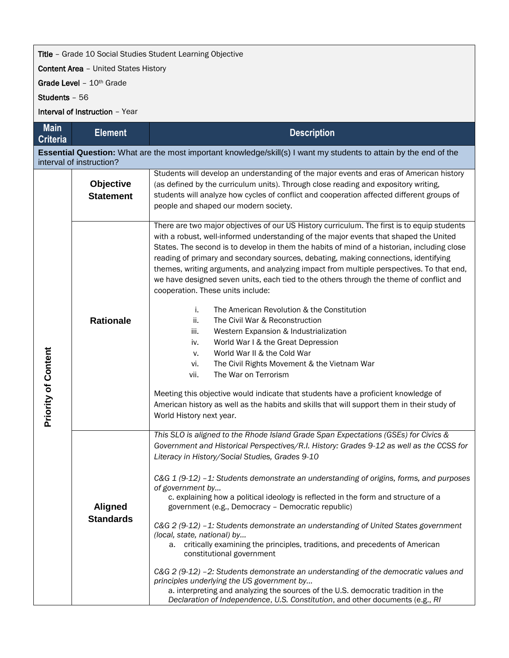## **Title** - Grade 10 Social Studies Student Learning Objective

Content Area – United States History

Grade Level - 10<sup>th</sup> Grade

Students – 56

Interval of Instruction – Year

| <b>Main</b><br><b>Criteria</b> | <b>Element</b>                                                                                                                                | <b>Description</b>                                                                                                                                                                                                                                                                                                                                                                                                                                                                                                                                                                                                                                                                                                                                                                                                                                                                                                                                                                                                                                                                                                                           |  |  |  |  |  |
|--------------------------------|-----------------------------------------------------------------------------------------------------------------------------------------------|----------------------------------------------------------------------------------------------------------------------------------------------------------------------------------------------------------------------------------------------------------------------------------------------------------------------------------------------------------------------------------------------------------------------------------------------------------------------------------------------------------------------------------------------------------------------------------------------------------------------------------------------------------------------------------------------------------------------------------------------------------------------------------------------------------------------------------------------------------------------------------------------------------------------------------------------------------------------------------------------------------------------------------------------------------------------------------------------------------------------------------------------|--|--|--|--|--|
|                                | Essential Question: What are the most important knowledge/skill(s) I want my students to attain by the end of the<br>interval of instruction? |                                                                                                                                                                                                                                                                                                                                                                                                                                                                                                                                                                                                                                                                                                                                                                                                                                                                                                                                                                                                                                                                                                                                              |  |  |  |  |  |
| <b>Priority of Content</b>     | Objective<br><b>Statement</b>                                                                                                                 | Students will develop an understanding of the major events and eras of American history<br>(as defined by the curriculum units). Through close reading and expository writing,<br>students will analyze how cycles of conflict and cooperation affected different groups of<br>people and shaped our modern society.                                                                                                                                                                                                                                                                                                                                                                                                                                                                                                                                                                                                                                                                                                                                                                                                                         |  |  |  |  |  |
|                                | <b>Rationale</b>                                                                                                                              | There are two major objectives of our US History curriculum. The first is to equip students<br>with a robust, well-informed understanding of the major events that shaped the United<br>States. The second is to develop in them the habits of mind of a historian, including close<br>reading of primary and secondary sources, debating, making connections, identifying<br>themes, writing arguments, and analyzing impact from multiple perspectives. To that end,<br>we have designed seven units, each tied to the others through the theme of conflict and<br>cooperation. These units include:<br>The American Revolution & the Constitution<br>j.<br>ii.<br>The Civil War & Reconstruction<br>Western Expansion & Industrialization<br>iii.<br>World War I & the Great Depression<br>iv.<br>World War II & the Cold War<br>v.<br>The Civil Rights Movement & the Vietnam War<br>vi.<br>The War on Terrorism<br>vii.<br>Meeting this objective would indicate that students have a proficient knowledge of<br>American history as well as the habits and skills that will support them in their study of<br>World History next year. |  |  |  |  |  |
|                                | <b>Aligned</b><br><b>Standards</b>                                                                                                            | This SLO is aligned to the Rhode Island Grade Span Expectations (GSEs) for Civics &<br>Government and Historical Perspectives/R.I. History: Grades 9-12 as well as the CCSS for<br>Literacy in History/Social Studies, Grades 9-10<br>C&G 1 (9-12) -1: Students demonstrate an understanding of origins, forms, and purposes<br>of government by<br>c. explaining how a political ideology is reflected in the form and structure of a<br>government (e.g., Democracy - Democratic republic)<br>C&G 2 (9-12) -1: Students demonstrate an understanding of United States government<br>(local, state, national) by<br>a. critically examining the principles, traditions, and precedents of American<br>constitutional government<br>C&G 2 (9-12) -2: Students demonstrate an understanding of the democratic values and<br>principles underlying the US government by<br>a. interpreting and analyzing the sources of the U.S. democratic tradition in the<br>Declaration of Independence, U.S. Constitution, and other documents (e.g., RI                                                                                                  |  |  |  |  |  |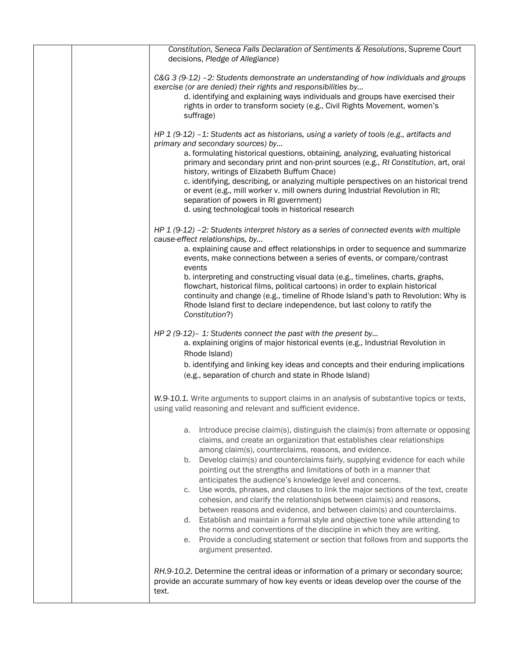| Constitution, Seneca Falls Declaration of Sentiments & Resolutions, Supreme Court<br>decisions, Pledge of Allegiance)                                                                                                                                                                                                                                                                                                                                                                                                                                                                                                                                                                                                                                                                                                                                                                                                                                              |
|--------------------------------------------------------------------------------------------------------------------------------------------------------------------------------------------------------------------------------------------------------------------------------------------------------------------------------------------------------------------------------------------------------------------------------------------------------------------------------------------------------------------------------------------------------------------------------------------------------------------------------------------------------------------------------------------------------------------------------------------------------------------------------------------------------------------------------------------------------------------------------------------------------------------------------------------------------------------|
| $C&G$ 3 (9-12) -2: Students demonstrate an understanding of how individuals and groups<br>exercise (or are denied) their rights and responsibilities by<br>d. identifying and explaining ways individuals and groups have exercised their<br>rights in order to transform society (e.g., Civil Rights Movement, women's<br>suffrage)                                                                                                                                                                                                                                                                                                                                                                                                                                                                                                                                                                                                                               |
| HP 1 (9-12) -1: Students act as historians, using a variety of tools (e.g., artifacts and<br>primary and secondary sources) by<br>a. formulating historical questions, obtaining, analyzing, evaluating historical<br>primary and secondary print and non-print sources (e.g., RI Constitution, art, oral<br>history, writings of Elizabeth Buffum Chace)<br>c. identifying, describing, or analyzing multiple perspectives on an historical trend<br>or event (e.g., mill worker v. mill owners during Industrial Revolution in RI;<br>separation of powers in RI government)<br>d. using technological tools in historical research                                                                                                                                                                                                                                                                                                                              |
| HP $1$ (9-12) -2: Students interpret history as a series of connected events with multiple<br>cause-effect relationships, by<br>a. explaining cause and effect relationships in order to sequence and summarize<br>events, make connections between a series of events, or compare/contrast<br>events<br>b. interpreting and constructing visual data (e.g., timelines, charts, graphs,<br>flowchart, historical films, political cartoons) in order to explain historical<br>continuity and change (e.g., timeline of Rhode Island's path to Revolution: Why is<br>Rhode Island first to declare independence, but last colony to ratify the<br>Constitution?)                                                                                                                                                                                                                                                                                                    |
| HP 2 (9-12)-1: Students connect the past with the present by<br>a. explaining origins of major historical events (e.g., Industrial Revolution in<br>Rhode Island)<br>b. identifying and linking key ideas and concepts and their enduring implications<br>(e.g., separation of church and state in Rhode Island)                                                                                                                                                                                                                                                                                                                                                                                                                                                                                                                                                                                                                                                   |
| W.9-10.1. Write arguments to support claims in an analysis of substantive topics or texts,<br>using valid reasoning and relevant and sufficient evidence.                                                                                                                                                                                                                                                                                                                                                                                                                                                                                                                                                                                                                                                                                                                                                                                                          |
| Introduce precise claim(s), distinguish the claim(s) from alternate or opposing<br>а.<br>claims, and create an organization that establishes clear relationships<br>among claim(s), counterclaims, reasons, and evidence.<br>Develop claim(s) and counterclaims fairly, supplying evidence for each while<br>b.<br>pointing out the strengths and limitations of both in a manner that<br>anticipates the audience's knowledge level and concerns.<br>Use words, phrases, and clauses to link the major sections of the text, create<br>C.<br>cohesion, and clarify the relationships between claim(s) and reasons,<br>between reasons and evidence, and between claim(s) and counterclaims.<br>d. Establish and maintain a formal style and objective tone while attending to<br>the norms and conventions of the discipline in which they are writing.<br>e. Provide a concluding statement or section that follows from and supports the<br>argument presented. |
| RH.9-10.2. Determine the central ideas or information of a primary or secondary source;<br>provide an accurate summary of how key events or ideas develop over the course of the<br>text.                                                                                                                                                                                                                                                                                                                                                                                                                                                                                                                                                                                                                                                                                                                                                                          |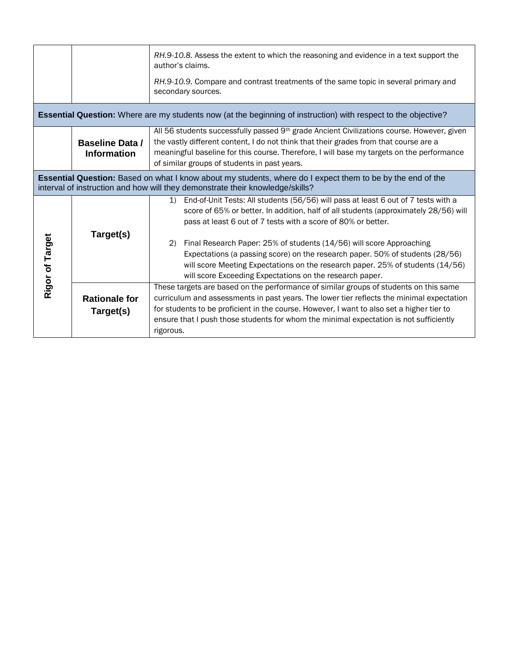|                                                                                                                                                                                                    |                                              | RH.9-10.8. Assess the extent to which the reasoning and evidence in a text support the<br>author's claims.<br>RH.9-10.9. Compare and contrast treatments of the same topic in several primary and<br>secondary sources.                                                                                                                                                                |  |  |  |  |
|----------------------------------------------------------------------------------------------------------------------------------------------------------------------------------------------------|----------------------------------------------|----------------------------------------------------------------------------------------------------------------------------------------------------------------------------------------------------------------------------------------------------------------------------------------------------------------------------------------------------------------------------------------|--|--|--|--|
| <b>Essential Question:</b> Where are my students now (at the beginning of instruction) with respect to the objective?                                                                              |                                              |                                                                                                                                                                                                                                                                                                                                                                                        |  |  |  |  |
|                                                                                                                                                                                                    | <b>Baseline Data /</b><br><b>Information</b> | All 56 students successfully passed 9th grade Ancient Civilizations course. However, given<br>the vastly different content, I do not think that their grades from that course are a<br>meaningful baseline for this course. Therefore, I will base my targets on the performance<br>of similar groups of students in past years.                                                       |  |  |  |  |
| <b>Essential Question:</b> Based on what I know about my students, where do I expect them to be by the end of the<br>interval of instruction and how will they demonstrate their knowledge/skills? |                                              |                                                                                                                                                                                                                                                                                                                                                                                        |  |  |  |  |
| Rigor of Target                                                                                                                                                                                    | Target(s)                                    | 1) End-of-Unit Tests: All students (56/56) will pass at least 6 out of 7 tests with a<br>score of 65% or better. In addition, half of all students (approximately 28/56) will<br>pass at least 6 out of 7 tests with a score of 80% or better.                                                                                                                                         |  |  |  |  |
|                                                                                                                                                                                                    |                                              | Final Research Paper: 25% of students (14/56) will score Approaching<br>(2)<br>Expectations (a passing score) on the research paper. 50% of students (28/56)<br>will score Meeting Expectations on the research paper. 25% of students (14/56)<br>will score Exceeding Expectations on the research paper.                                                                             |  |  |  |  |
|                                                                                                                                                                                                    | <b>Rationale for</b><br>Target(s)            | These targets are based on the performance of similar groups of students on this same<br>curriculum and assessments in past years. The lower tier reflects the minimal expectation<br>for students to be proficient in the course. However, I want to also set a higher tier to<br>ensure that I push those students for whom the minimal expectation is not sufficiently<br>rigorous. |  |  |  |  |